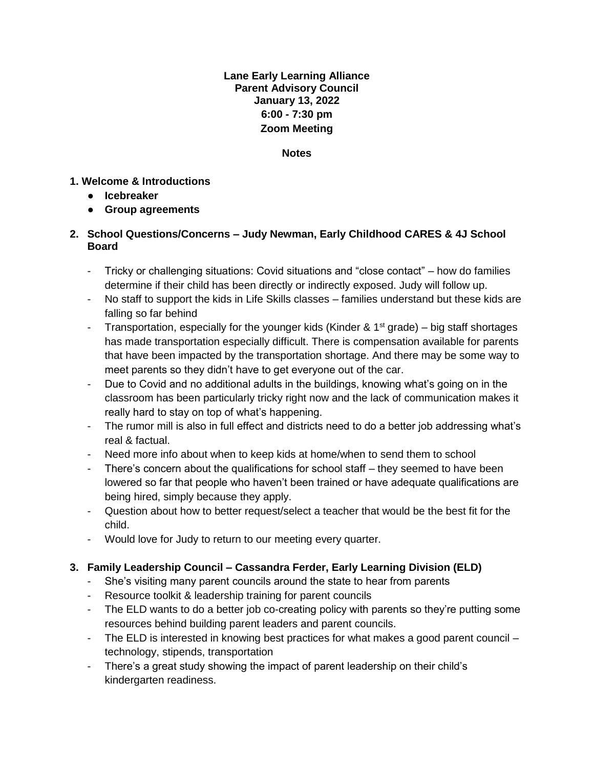# **Lane Early Learning Alliance Parent Advisory Council January 13, 2022 6:00 - 7:30 pm Zoom Meeting**

#### **Notes**

### **1. Welcome & Introductions**

- **Icebreaker**
- **Group agreements**

### **2. School Questions/Concerns – Judy Newman, Early Childhood CARES & 4J School Board**

- Tricky or challenging situations: Covid situations and "close contact" how do families determine if their child has been directly or indirectly exposed. Judy will follow up.
- No staff to support the kids in Life Skills classes families understand but these kids are falling so far behind
- Transportation, especially for the younger kids (Kinder &  $1<sup>st</sup>$  grade) big staff shortages has made transportation especially difficult. There is compensation available for parents that have been impacted by the transportation shortage. And there may be some way to meet parents so they didn't have to get everyone out of the car.
- Due to Covid and no additional adults in the buildings, knowing what's going on in the classroom has been particularly tricky right now and the lack of communication makes it really hard to stay on top of what's happening.
- The rumor mill is also in full effect and districts need to do a better job addressing what's real & factual.
- Need more info about when to keep kids at home/when to send them to school
- There's concern about the qualifications for school staff they seemed to have been lowered so far that people who haven't been trained or have adequate qualifications are being hired, simply because they apply.
- Question about how to better request/select a teacher that would be the best fit for the child.
- Would love for Judy to return to our meeting every quarter.

# **3. Family Leadership Council – Cassandra Ferder, Early Learning Division (ELD)**

- She's visiting many parent councils around the state to hear from parents
- Resource toolkit & leadership training for parent councils
- The ELD wants to do a better job co-creating policy with parents so they're putting some resources behind building parent leaders and parent councils.
- The ELD is interested in knowing best practices for what makes a good parent council technology, stipends, transportation
- There's a great study showing the impact of parent leadership on their child's kindergarten readiness.